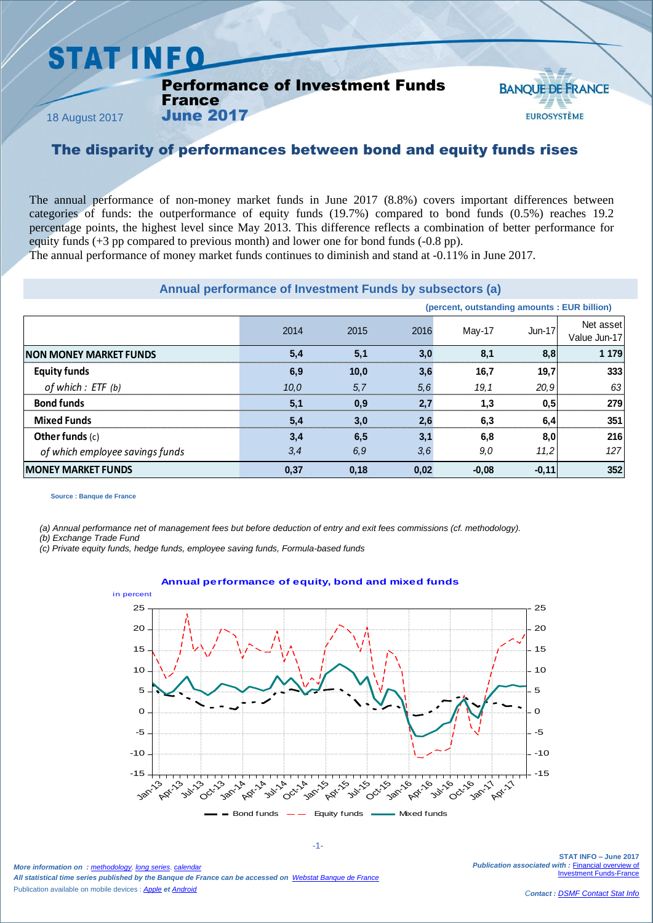## **STAT INFO**

France June 2017

Performance of Investment Funds

18 August 2017

**BANOUE DE FRANCE EUROSYSTÈME** 

## The disparity of performances between bond and equity funds rises

The annual performance of non-money market funds in June 2017 (8.8%) covers important differences between categories of funds: the outperformance of equity funds (19.7%) compared to bond funds (0.5%) reaches 19.2 percentage points, the highest level since May 2013. This difference reflects a combination of better performance for equity funds (+3 pp compared to previous month) and lower one for bond funds (-0.8 pp).

The annual performance of money market funds continues to diminish and stand at -0.11% in June 2017.

#### **Annual performance of Investment Funds by subsectors (a)**

| Annual performance of Investment Funds by subsectors (a) |      |      |      |                                              |               |                           |
|----------------------------------------------------------|------|------|------|----------------------------------------------|---------------|---------------------------|
|                                                          |      |      |      | (percent, outstanding amounts : EUR billion) |               |                           |
|                                                          | 2014 | 2015 | 2016 | May-17                                       | <b>Jun-17</b> | Net asset<br>Value Jun-17 |
| INON MONEY MARKET FUNDS                                  | 5,4  | 5,1  | 3,0  | 8.1                                          | 8,8           | 1 1 7 9                   |
| <b>Equity funds</b>                                      | 6,9  | 10.0 | 3,6  | 16,7                                         | 19,7          | 333                       |
| of which : ETF (b)                                       | 10.0 | 5,7  | 5,6  | 19, 1                                        | 20,9          | 63                        |
| <b>Bond funds</b>                                        | 5,1  | 0,9  | 2,7  | 1,3                                          | 0,5           | 279                       |
| <b>Mixed Funds</b>                                       | 5,4  | 3,0  | 2,6  | 6,3                                          | 6,4           | 351                       |
| Other funds $(c)$                                        | 3,4  | 6,5  | 3,1  | 6.8                                          | 8,0           | 216                       |
| of which employee savings funds                          | 3,4  | 6,9  | 3,6  | 9.0                                          | 11,2          | 127                       |
| <b>IMONEY MARKET FUNDS</b>                               | 0,37 | 0,18 | 0,02 | $-0.08$                                      | $-0,11$       | 352                       |
|                                                          |      |      |      |                                              |               |                           |

**Source : Banque de France**

*(a) Annual performance net of management fees but before deduction of entry and exit fees commissions (cf. methodology).*

*(b) Exchange Trade Fund*

*(c) Private equity funds, hedge funds, employee saving funds, Formula-based funds*



-1-

*More information on : [methodology](https://www.banque-france.fr/en/node/21464)*, *[long series](http://webstat.banque-france.fr/en/browse.do?node=5384218)*, *[calendar](https://www.banque-france.fr/en/statistics/calendar) All statistical time series published by the Banque de France can be accessed on [Webstat Banque de France](http://webstat.banque-france.fr/en/)* Publication available on mobile devices : *[Apple](https://itunes.apple.com/fr/app/banquefrance/id663817914?mt=8) et [Android](https://play.google.com/store/apps/details?id=fr.bdf.mobile&feature=search_result#?t=W251bGwsMSwyLDEsImZyLmJkZi5tb2JpbGUiXQ)*

**STAT INFO – June 2017** *Publication associated with :* [Financial overview of](https://www.banque-france.fr/en/node/4206)  [Investment Funds-France](https://www.banque-france.fr/en/node/4206)